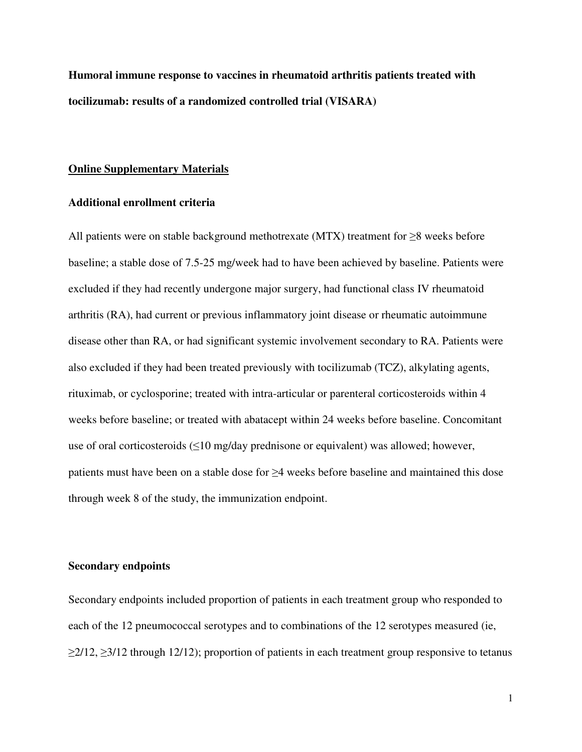**Humoral immune response to vaccines in rheumatoid arthritis patients treated with tocilizumab: results of a randomized controlled trial (VISARA)** 

## **Online Supplementary Materials**

#### **Additional enrollment criteria**

All patients were on stable background methotrexate (MTX) treatment for  $\geq 8$  weeks before baseline; a stable dose of 7.5-25 mg/week had to have been achieved by baseline. Patients were excluded if they had recently undergone major surgery, had functional class IV rheumatoid arthritis (RA), had current or previous inflammatory joint disease or rheumatic autoimmune disease other than RA, or had significant systemic involvement secondary to RA. Patients were also excluded if they had been treated previously with tocilizumab (TCZ), alkylating agents, rituximab, or cyclosporine; treated with intra-articular or parenteral corticosteroids within 4 weeks before baseline; or treated with abatacept within 24 weeks before baseline. Concomitant use of oral corticosteroids (≤10 mg/day prednisone or equivalent) was allowed; however, patients must have been on a stable dose for ≥4 weeks before baseline and maintained this dose through week 8 of the study, the immunization endpoint.

# **Secondary endpoints**

Secondary endpoints included proportion of patients in each treatment group who responded to each of the 12 pneumococcal serotypes and to combinations of the 12 serotypes measured (ie,  $\geq$ 2/12,  $\geq$ 3/12 through 12/12); proportion of patients in each treatment group responsive to tetanus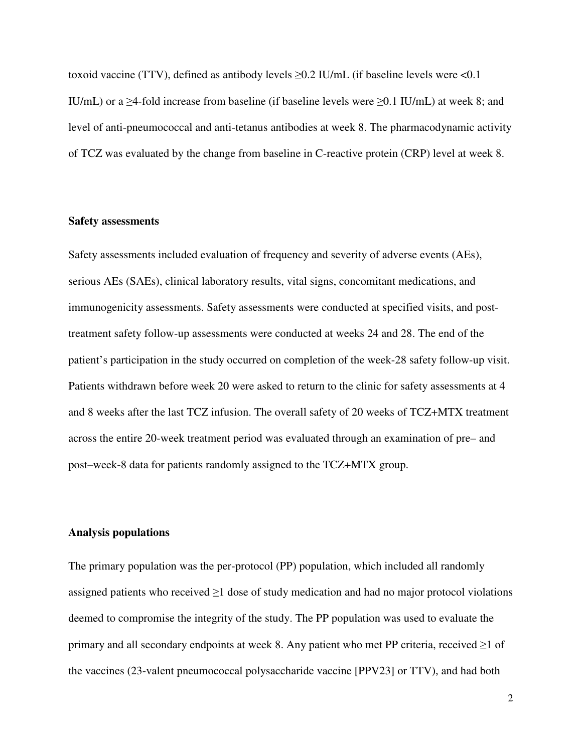toxoid vaccine (TTV), defined as antibody levels  $>0.2$  IU/mL (if baseline levels were  $< 0.1$ ) IU/mL) or a  $\geq$ 4-fold increase from baseline (if baseline levels were  $\geq$ 0.1 IU/mL) at week 8; and level of anti-pneumococcal and anti-tetanus antibodies at week 8. The pharmacodynamic activity of TCZ was evaluated by the change from baseline in C-reactive protein (CRP) level at week 8.

# **Safety assessments**

Safety assessments included evaluation of frequency and severity of adverse events (AEs), serious AEs (SAEs), clinical laboratory results, vital signs, concomitant medications, and immunogenicity assessments. Safety assessments were conducted at specified visits, and posttreatment safety follow-up assessments were conducted at weeks 24 and 28. The end of the patient's participation in the study occurred on completion of the week-28 safety follow-up visit. Patients withdrawn before week 20 were asked to return to the clinic for safety assessments at 4 and 8 weeks after the last TCZ infusion. The overall safety of 20 weeks of TCZ+MTX treatment across the entire 20-week treatment period was evaluated through an examination of pre– and post–week-8 data for patients randomly assigned to the TCZ+MTX group.

# **Analysis populations**

The primary population was the per-protocol (PP) population, which included all randomly assigned patients who received  $\geq 1$  dose of study medication and had no major protocol violations deemed to compromise the integrity of the study. The PP population was used to evaluate the primary and all secondary endpoints at week 8. Any patient who met PP criteria, received  $\geq 1$  of the vaccines (23-valent pneumococcal polysaccharide vaccine [PPV23] or TTV), and had both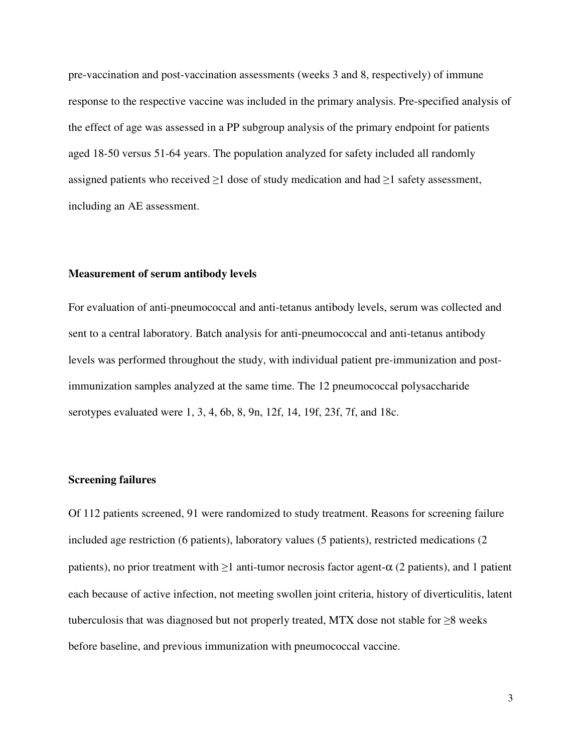pre-vaccination and post-vaccination assessments (weeks 3 and 8, respectively) of immune response to the respective vaccine was included in the primary analysis. Pre-specified analysis of the effect of age was assessed in a PP subgroup analysis of the primary endpoint for patients aged 18-50 versus 51-64 years. The population analyzed for safety included all randomly assigned patients who received  $\geq 1$  dose of study medication and had  $\geq 1$  safety assessment, including an AE assessment.

#### **Measurement of serum antibody levels**

For evaluation of anti-pneumococcal and anti-tetanus antibody levels, serum was collected and sent to a central laboratory. Batch analysis for anti-pneumococcal and anti-tetanus antibody levels was performed throughout the study, with individual patient pre-immunization and postimmunization samples analyzed at the same time. The 12 pneumococcal polysaccharide serotypes evaluated were 1, 3, 4, 6b, 8, 9n, 12f, 14, 19f, 23f, 7f, and 18c.

## **Screening failures**

Of 112 patients screened, 91 were randomized to study treatment. Reasons for screening failure included age restriction (6 patients), laboratory values (5 patients), restricted medications (2 patients), no prior treatment with  $\geq 1$  anti-tumor necrosis factor agent- $\alpha$  (2 patients), and 1 patient each because of active infection, not meeting swollen joint criteria, history of diverticulitis, latent tuberculosis that was diagnosed but not properly treated, MTX dose not stable for ≥8 weeks before baseline, and previous immunization with pneumococcal vaccine.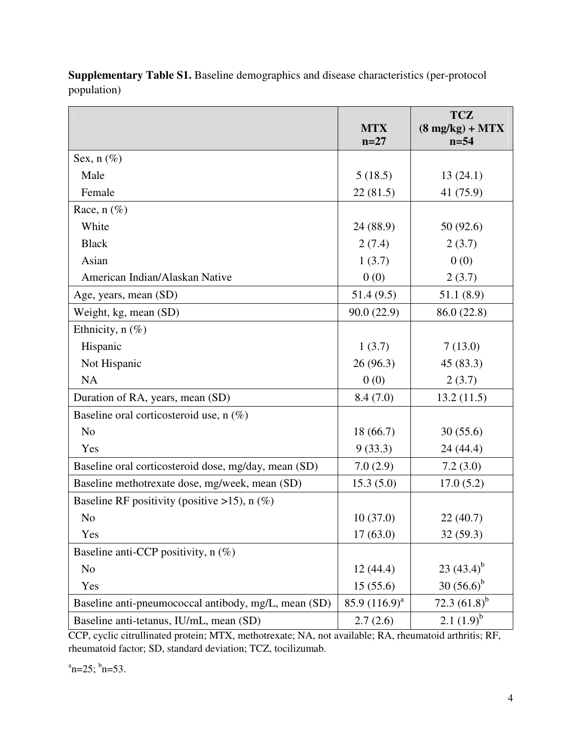|                                                      |                  | <b>TCZ</b>                       |
|------------------------------------------------------|------------------|----------------------------------|
|                                                      | <b>MTX</b>       | $(8 \text{ mg/kg}) + \text{MTX}$ |
|                                                      | $n=27$           | $n = 54$                         |
| Sex, $n$ (%)                                         |                  |                                  |
| Male                                                 | 5(18.5)          | 13(24.1)                         |
| Female                                               | 22(81.5)         | 41 (75.9)                        |
| Race, $n$ (%)                                        |                  |                                  |
| White                                                | 24 (88.9)        | 50 (92.6)                        |
| <b>Black</b>                                         | 2(7.4)           | 2(3.7)                           |
| Asian                                                | 1(3.7)           | 0(0)                             |
| American Indian/Alaskan Native                       | 0(0)             | 2(3.7)                           |
| Age, years, mean (SD)                                | 51.4(9.5)        | 51.1(8.9)                        |
| Weight, kg, mean (SD)                                | 90.0(22.9)       | 86.0 (22.8)                      |
| Ethnicity, $n$ (%)                                   |                  |                                  |
| Hispanic                                             | 1(3.7)           | 7(13.0)                          |
| Not Hispanic                                         | 26 (96.3)        | 45 (83.3)                        |
| NA                                                   | 0(0)             | 2(3.7)                           |
| Duration of RA, years, mean (SD)                     | 8.4(7.0)         | 13.2(11.5)                       |
| Baseline oral corticosteroid use, n (%)              |                  |                                  |
| N <sub>o</sub>                                       | 18 (66.7)        | 30(55.6)                         |
| Yes                                                  | 9(33.3)          | 24 (44.4)                        |
| Baseline oral corticosteroid dose, mg/day, mean (SD) | 7.0(2.9)         | 7.2(3.0)                         |
| Baseline methotrexate dose, mg/week, mean (SD)       | 15.3(5.0)        | 17.0(5.2)                        |
| Baseline RF positivity (positive >15), $n$ (%)       |                  |                                  |
| N <sub>o</sub>                                       | 10(37.0)         | 22(40.7)                         |
| Yes                                                  | 17(63.0)         | 32 (59.3)                        |
| Baseline anti-CCP positivity, n (%)                  |                  |                                  |
| N <sub>o</sub>                                       | 12(44.4)         | 23 $(43.4)^{b}$                  |
| Yes                                                  | 15(55.6)         | $30(56.6)^b$                     |
| Baseline anti-pneumococcal antibody, mg/L, mean (SD) | 85.9 $(116.9)^a$ | 72.3 $(61.8)^b$                  |
| Baseline anti-tetanus, IU/mL, mean (SD)              | 2.7(2.6)         | 2.1 $(1.9)^b$                    |

**Supplementary Table S1.** Baseline demographics and disease characteristics (per-protocol population)

CCP, cyclic citrullinated protein; MTX, methotrexate; NA, not available; RA, rheumatoid arthritis; RF, rheumatoid factor; SD, standard deviation; TCZ, tocilizumab.

 $n=25$ ;  $b_n=53$ .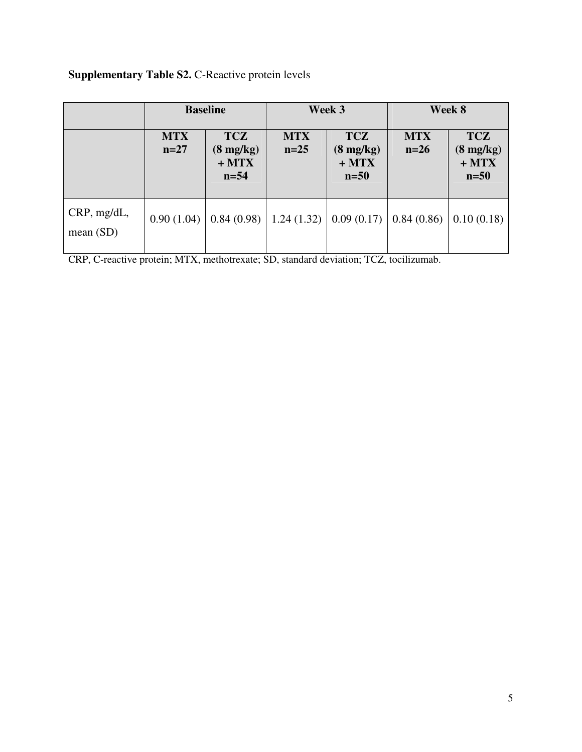# **Supplementary Table S2. C-Reactive protein levels**

|                            | <b>Baseline</b>      |                                                       | Week 3               |                                                       | Week 8               |                                                       |
|----------------------------|----------------------|-------------------------------------------------------|----------------------|-------------------------------------------------------|----------------------|-------------------------------------------------------|
|                            | <b>MTX</b><br>$n=27$ | <b>TCZ</b><br>$(8 \text{ mg/kg})$<br>$+MTX$<br>$n=54$ | <b>MTX</b><br>$n=25$ | <b>TCZ</b><br>$(8 \text{ mg/kg})$<br>$+MTX$<br>$n=50$ | <b>MTX</b><br>$n=26$ | <b>TCZ</b><br>$(8 \text{ mg/kg})$<br>$+MTX$<br>$n=50$ |
| CRP, mg/dL,<br>mean $(SD)$ | 0.90(1.04)           | 0.84(0.98)                                            | 1.24(1.32)           | 0.09(0.17)                                            | 0.84(0.86)           | 0.10(0.18)                                            |

CRP, C-reactive protein; MTX, methotrexate; SD, standard deviation; TCZ, tocilizumab.